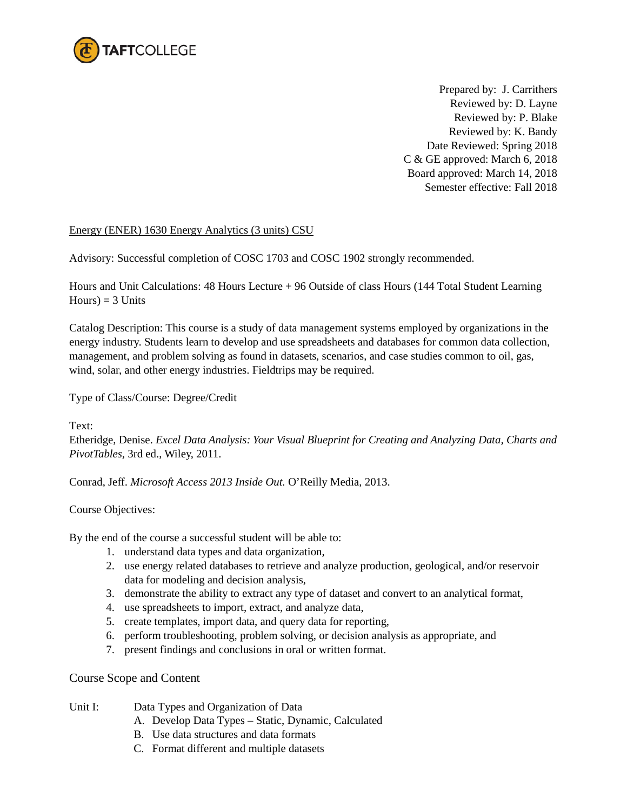

Prepared by: J. Carrithers Reviewed by: D. Layne Reviewed by: P. Blake Reviewed by: K. Bandy Date Reviewed: Spring 2018 C & GE approved: March 6, 2018 Board approved: March 14, 2018 Semester effective: Fall 2018

## Energy (ENER) 1630 Energy Analytics (3 units) CSU

Advisory: Successful completion of COSC 1703 and COSC 1902 strongly recommended.

Hours and Unit Calculations: 48 Hours Lecture + 96 Outside of class Hours (144 Total Student Learning  $Hours$ ) = 3 Units

Catalog Description: This course is a study of data management systems employed by organizations in the energy industry. Students learn to develop and use spreadsheets and databases for common data collection, management, and problem solving as found in datasets, scenarios, and case studies common to oil, gas, wind, solar, and other energy industries. Fieldtrips may be required.

Type of Class/Course: Degree/Credit

Text:

Etheridge, Denise. *Excel Data Analysis: Your Visual Blueprint for Creating and Analyzing Data, Charts and PivotTables,* 3rd ed., Wiley, 2011.

Conrad, Jeff. *Microsoft Access 2013 Inside Out.* O'Reilly Media, 2013.

## Course Objectives:

By the end of the course a successful student will be able to:

- 1. understand data types and data organization,
- 2. use energy related databases to retrieve and analyze production, geological, and/or reservoir data for modeling and decision analysis,
- 3. demonstrate the ability to extract any type of dataset and convert to an analytical format,
- 4. use spreadsheets to import, extract, and analyze data,
- 5. create templates, import data, and query data for reporting,
- 6. perform troubleshooting, problem solving, or decision analysis as appropriate, and
- 7. present findings and conclusions in oral or written format.

## Course Scope and Content

- Unit I: Data Types and Organization of Data
	- A. Develop Data Types Static, Dynamic, Calculated
	- B. Use data structures and data formats
	- C. Format different and multiple datasets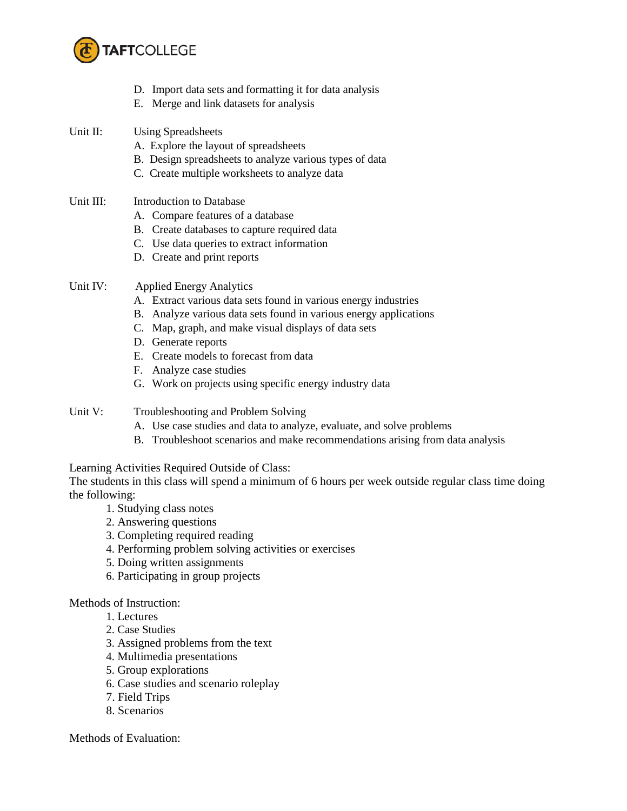

- D. Import data sets and formatting it for data analysis
- E. Merge and link datasets for analysis
- Unit II: Using Spreadsheets
	- A. Explore the layout of spreadsheets
	- B. Design spreadsheets to analyze various types of data
	- C. Create multiple worksheets to analyze data
- Unit III: Introduction to Database
	- A. Compare features of a database
	- B. Create databases to capture required data
	- C. Use data queries to extract information
	- D. Create and print reports
- Unit IV: Applied Energy Analytics
	- A. Extract various data sets found in various energy industries
	- B. Analyze various data sets found in various energy applications
	- C. Map, graph, and make visual displays of data sets
	- D. Generate reports
	- E. Create models to forecast from data
	- F. Analyze case studies
	- G. Work on projects using specific energy industry data

Unit V: Troubleshooting and Problem Solving

- A. Use case studies and data to analyze, evaluate, and solve problems
- B. Troubleshoot scenarios and make recommendations arising from data analysis

Learning Activities Required Outside of Class:

The students in this class will spend a minimum of 6 hours per week outside regular class time doing the following:

- 1. Studying class notes
- 2. Answering questions
- 3. Completing required reading
- 4. Performing problem solving activities or exercises
- 5. Doing written assignments
- 6. Participating in group projects

Methods of Instruction:

- 1. Lectures
- 2. Case Studies
- 3. Assigned problems from the text
- 4. Multimedia presentations
- 5. Group explorations
- 6. Case studies and scenario roleplay
- 7. Field Trips
- 8. Scenarios

Methods of Evaluation: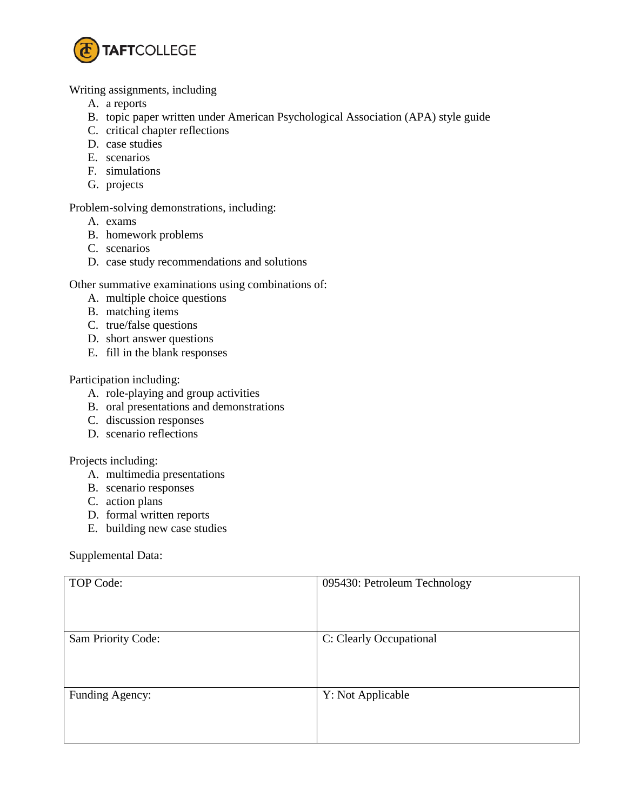

Writing assignments, including

- A. a reports
- B. topic paper written under American Psychological Association (APA) style guide
- C. critical chapter reflections
- D. case studies
- E. scenarios
- F. simulations
- G. projects

Problem-solving demonstrations, including:

- A. exams
- B. homework problems
- C. scenarios
- D. case study recommendations and solutions

Other summative examinations using combinations of:

- A. multiple choice questions
- B. matching items
- C. true/false questions
- D. short answer questions
- E. fill in the blank responses

Participation including:

- A. role-playing and group activities
- B. oral presentations and demonstrations
- C. discussion responses
- D. scenario reflections

Projects including:

- A. multimedia presentations
- B. scenario responses
- C. action plans
- D. formal written reports
- E. building new case studies

Supplemental Data:

| TOP Code:          | 095430: Petroleum Technology |
|--------------------|------------------------------|
| Sam Priority Code: | C: Clearly Occupational      |
| Funding Agency:    | Y: Not Applicable            |